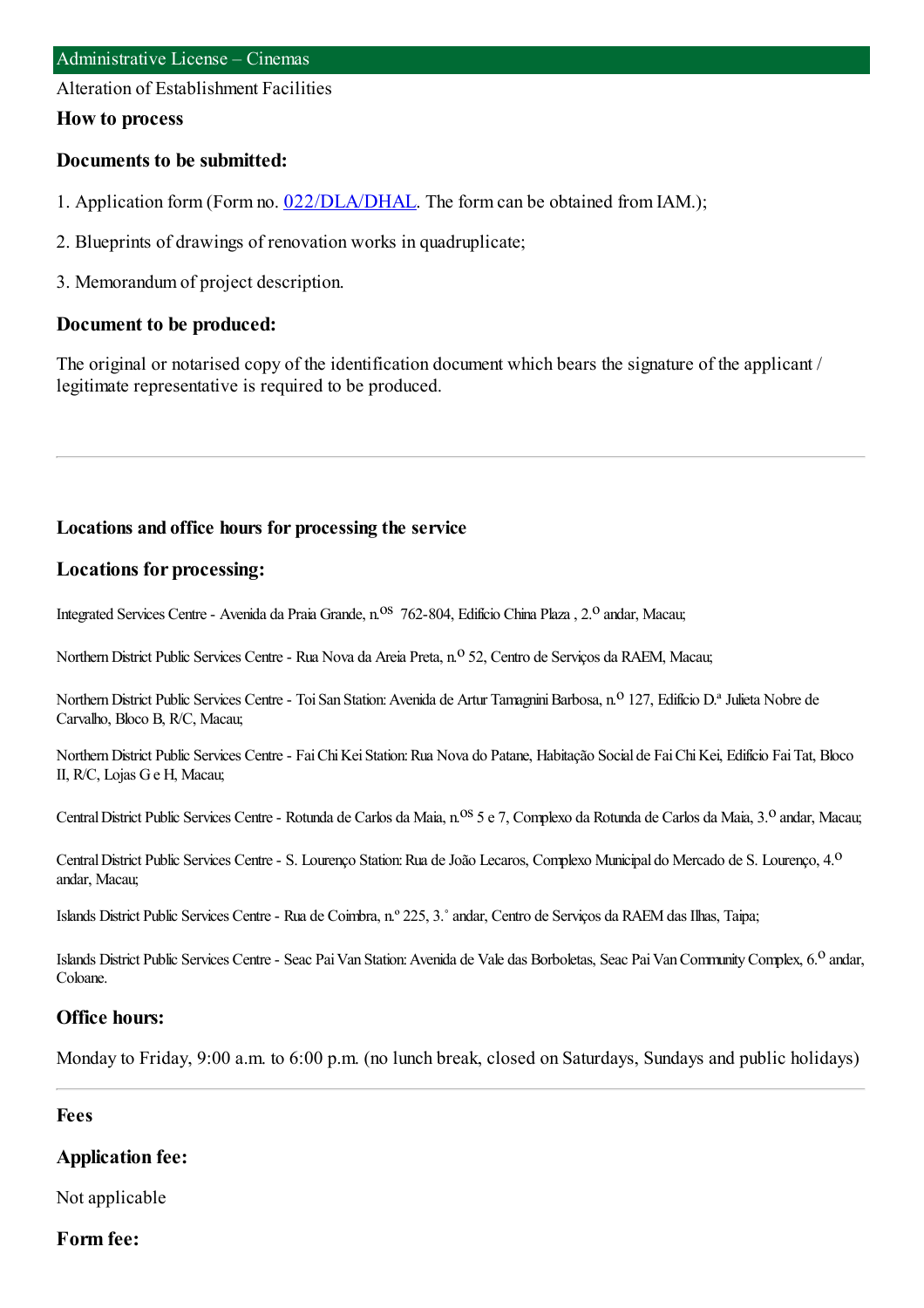Alteration of Establishment Facilities

#### **How to process**

### **Documents to be submitted:**

- 1. Application form (Form no. [022/DLA/DHAL](https://www.iam.gov.mo/c/pdf/eformDetail/PDF1013). The form can be obtained from IAM.);
- 2. Blueprints of drawings of renovation works in quadruplicate;
- 3. Memorandumof project description.

### **Document to be produced:**

The original or notarised copy of the identification document which bears the signature of the applicant / legitimate representative is required to be produced.

### **Locations and office hours for processing the service**

### **Locations for processing:**

Integrated Services Centre - Avenida da Praia Grande, n.<sup>os</sup> 762-804, Edifício China Plaza, 2.<sup>o</sup> andar, Macau;

Northern District Public Services Centre - Rua Nova da Areia Preta, n.º 52, Centro de Serviços da RAEM, Macau;

Northern District Public Services Centre - Toi San Station: Avenida de Artur Tamagnini Barbosa, n.º 127, Edifício D.ª Julieta Nobre de Carvalho, Bloco B, R/C, Macau;

Northern District Public Services Centre - Fai Chi Kei Station: Rua Nova do Patane, Habitação Social de Fai Chi Kei, Edifício Fai Tat, Bloco II, R/C, Lojas Ge H, Macau;

Central District Public Services Centre - Rotunda de Carlos da Maia, n.<sup>0S</sup> 5 e 7, Complexo da Rotunda de Carlos da Maia, 3.<sup>0</sup> andar, Macau;

Central District Public Services Centre - S. Lourenço Station: Rua de João Lecaros, Complexo Municipal do Mercado de S. Lourenço, 4.<sup>0</sup> andar, Macau;

Islands District Public Services Centre- Rua de Coimbra, n.º 225, 3.˚andar, Centro de Serviços da RAEMdas Ilhas, Taipa;

Islands District Public Services Centre - Seac Pai Van Station: Avenida de Vale das Borboletas, Seac Pai Van Community Complex, 6.<sup>0</sup> andar, Coloane.

### **Office hours:**

Monday to Friday, 9:00 a.m. to 6:00 p.m. (no lunch break, closed on Saturdays, Sundays and public holidays)

#### **Fees**

### **Application fee:**

Not applicable

### **Form fee:**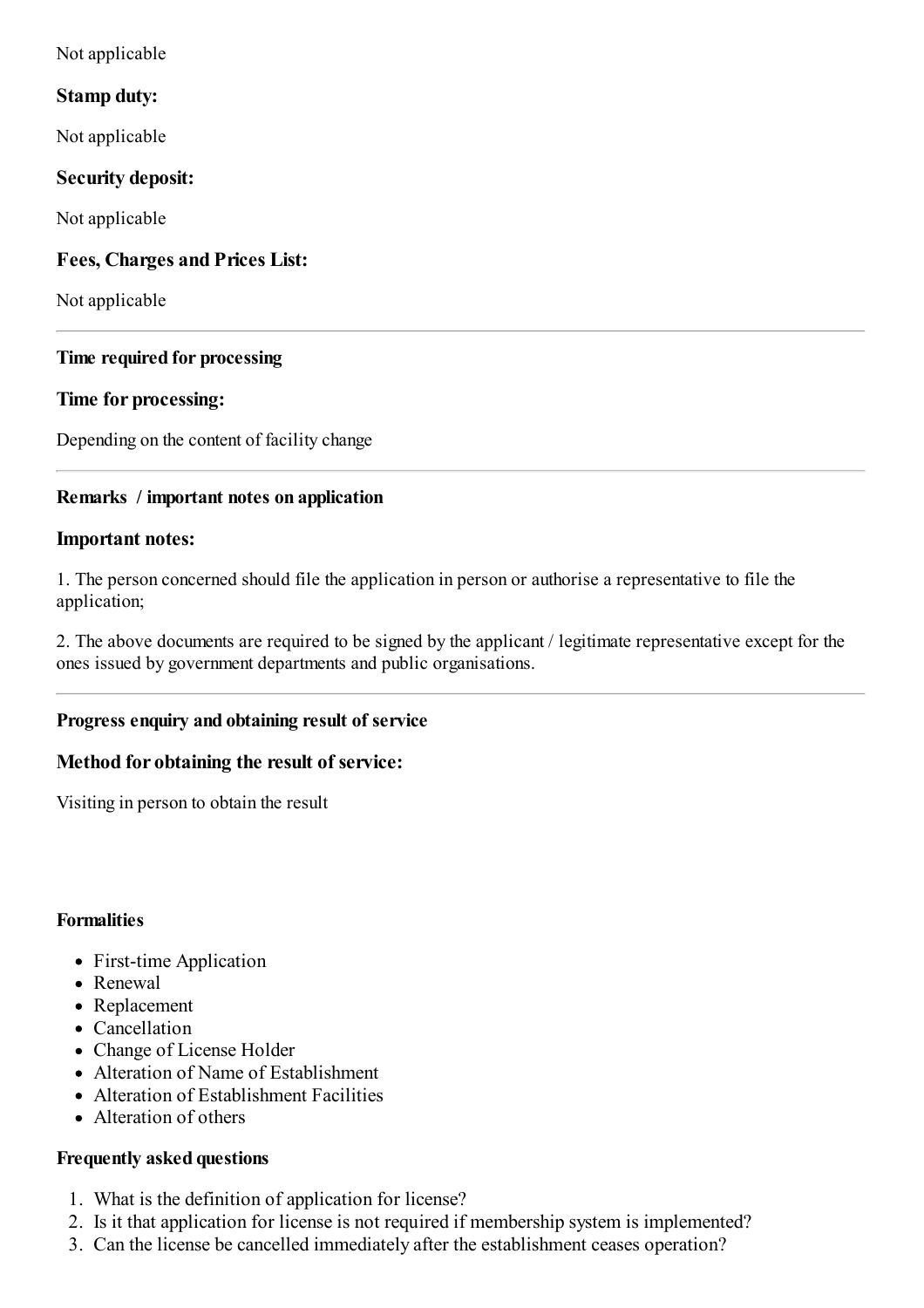Not applicable

# **Stamp duty:**

Not applicable

# **Security deposit:**

Not applicable

# **Fees, Charges and Prices List:**

Not applicable

### **Time required for processing**

### **Time for processing:**

Depending on the content of facility change

# **Remarks / important notes on application**

### **Important notes:**

1. The person concerned should file the application in person or authorise a representative to file the application;

2. The above documents are required to be signed by the applicant / legitimate representative except for the ones issued by government departments and public organisations.

# **Progress enquiry and obtaining result of service**

### **Method for obtaining the result of service:**

Visiting in person to obtain the result

### **Formalities**

- First-time Application
- Renewal
- Replacement
- Cancellation
- Change of License Holder
- Alteration of Name of Establishment
- Alteration of Establishment Facilities
- Alteration of others

### **Frequently asked questions**

- 1. What is the definition of application for license?
- 2. Is it that application for license is not required if membership system is implemented?
- 3. Can the license be cancelled immediately after the establishment ceases operation?